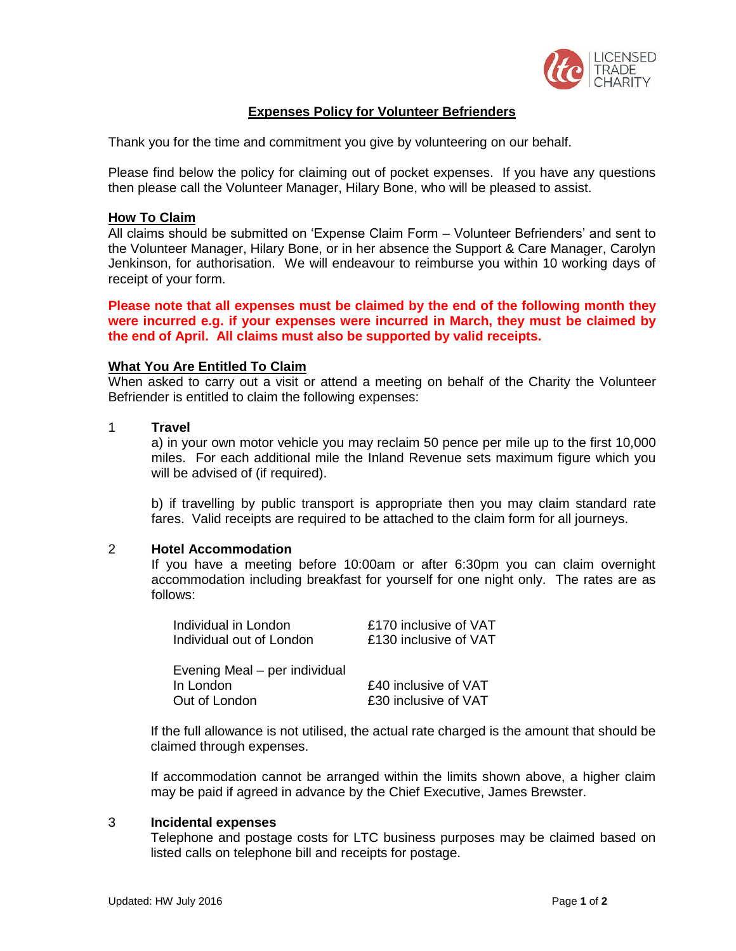

# **Expenses Policy for Volunteer Befrienders**

Thank you for the time and commitment you give by volunteering on our behalf.

Please find below the policy for claiming out of pocket expenses. If you have any questions then please call the Volunteer Manager, Hilary Bone, who will be pleased to assist.

### **How To Claim**

All claims should be submitted on 'Expense Claim Form – Volunteer Befrienders' and sent to the Volunteer Manager, Hilary Bone, or in her absence the Support & Care Manager, Carolyn Jenkinson, for authorisation. We will endeavour to reimburse you within 10 working days of receipt of your form.

**Please note that all expenses must be claimed by the end of the following month they were incurred e.g. if your expenses were incurred in March, they must be claimed by the end of April. All claims must also be supported by valid receipts.**

#### **What You Are Entitled To Claim**

When asked to carry out a visit or attend a meeting on behalf of the Charity the Volunteer Befriender is entitled to claim the following expenses:

#### 1 **Travel**

a) in your own motor vehicle you may reclaim 50 pence per mile up to the first 10,000 miles. For each additional mile the Inland Revenue sets maximum figure which you will be advised of (if required).

b) if travelling by public transport is appropriate then you may claim standard rate fares. Valid receipts are required to be attached to the claim form for all journeys.

#### 2 **Hotel Accommodation**

If you have a meeting before 10:00am or after 6:30pm you can claim overnight accommodation including breakfast for yourself for one night only. The rates are as follows:

| Individual in London          | £170 inclusive of VAT |
|-------------------------------|-----------------------|
| Individual out of London      | £130 inclusive of VAT |
|                               |                       |
| Evening Meal – per individual |                       |
| In London                     | £40 inclusive of VAT  |
| Out of London                 | £30 inclusive of VAT  |

If the full allowance is not utilised, the actual rate charged is the amount that should be claimed through expenses.

If accommodation cannot be arranged within the limits shown above, a higher claim may be paid if agreed in advance by the Chief Executive, James Brewster.

#### 3 **Incidental expenses**

Telephone and postage costs for LTC business purposes may be claimed based on listed calls on telephone bill and receipts for postage.